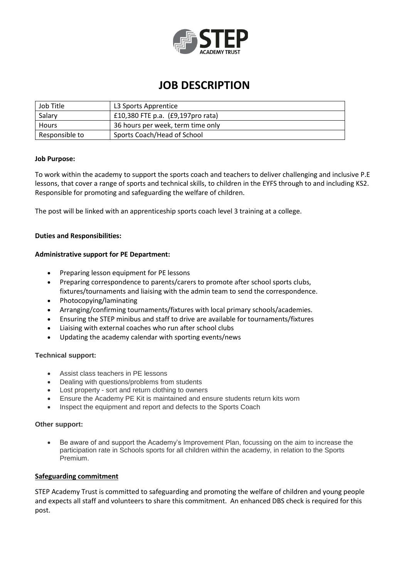

## **JOB DESCRIPTION**

| Job Title      | L3 Sports Apprentice               |
|----------------|------------------------------------|
| Salary         | £10,380 FTE p.a. (£9,197 pro rata) |
| Hours          | 36 hours per week, term time only  |
| Responsible to | Sports Coach/Head of School        |

### **Job Purpose:**

To work within the academy to support the sports coach and teachers to deliver challenging and inclusive P.E lessons, that cover a range of sports and technical skills, to children in the EYFS through to and including KS2. Responsible for promoting and safeguarding the welfare of children.

The post will be linked with an apprenticeship sports coach level 3 training at a college.

#### **Duties and Responsibilities:**

### **Administrative support for PE Department:**

- Preparing lesson equipment for PE lessons
- Preparing correspondence to parents/carers to promote after school sports clubs, fixtures/tournaments and liaising with the admin team to send the correspondence.
- Photocopying/laminating
- Arranging/confirming tournaments/fixtures with local primary schools/academies.
- Ensuring the STEP minibus and staff to drive are available for tournaments/fixtures
- Liaising with external coaches who run after school clubs
- Updating the academy calendar with sporting events/news

### **Technical support:**

- Assist class teachers in PE lessons
- Dealing with questions/problems from students
- Lost property sort and return clothing to owners
- Ensure the Academy PE Kit is maintained and ensure students return kits worn
- Inspect the equipment and report and defects to the Sports Coach

#### **Other support:**

 Be aware of and support the Academy's Improvement Plan, focussing on the aim to increase the participation rate in Schools sports for all children within the academy, in relation to the Sports Premium.

### **Safeguarding commitment**

STEP Academy Trust is committed to safeguarding and promoting the welfare of children and young people and expects all staff and volunteers to share this commitment. An enhanced DBS check is required for this post.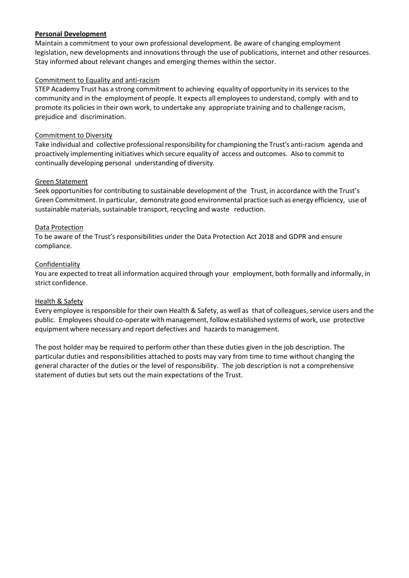## **Personal Development**

Maintain a commitment to your own professional development. Be aware of changing employment legislation, new developments and innovations through the use of publications, internet and other resources. Stay informed about relevant changes and emerging themes within the sector.

## Commitment to Equality and anti-racism

STEP Academy Trust has a strong commitment to achieving equality of opportunity in its services to the community and in the employment of people. It expects all employeesto understand, comply with and to promote its policies in their own work, to undertake any appropriate training and to challenge racism, prejudice and discrimination.

## Commitment to Diversity

Take individual and collective professional responsibility for championing the Trust's anti-racism agenda and proactively implementing initiatives which secure equality of access and outcomes. Also to commit to continually developing personal understanding of diversity.

## Green Statement

Seek opportunities for contributing to sustainable development of the Trust, in accordance with the Trust's Green Commitment. In particular, demonstrate good environmental practice such as energy efficiency, use of sustainable materials, sustainable transport, recycling and waste reduction.

## Data Protection

To be aware of the Trust's responsibilities under the Data Protection Act 2018 and GDPR and ensure compliance.

## **Confidentiality**

You are expected to treat all information acquired through your employment, both formally and informally, in strict confidence.

### Health & Safety

Every employee is responsible for their own Health & Safety, as well as that of colleagues, service users and the public. Employees should co-operate with management, follow established systems of work, use protective equipment where necessary and report defectives and hazards to management.

The post holder may be required to perform other than these duties given in the job description. The particular duties and responsibilities attached to posts may vary from time to time without changing the general character of the duties or the level of responsibility. The job description is not a comprehensive statement of duties but sets out the main expectations of the Trust.